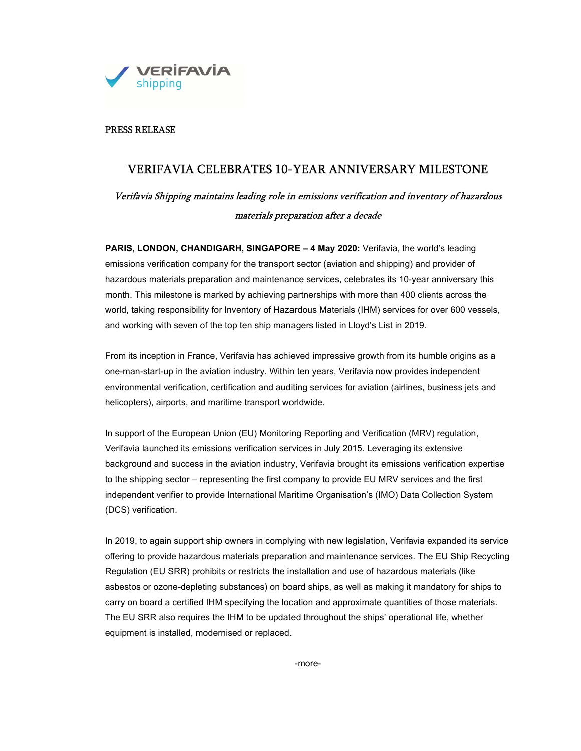

# PRESS RELEASE

# VERIFAVIA CELEBRATES 10-YEAR ANNIVERSARY MILESTONE

Verifavia Shipping maintains leading role in emissions verification and inventory of hazardous materials preparation after a decade

PARIS, LONDON, CHANDIGARH, SINGAPORE - 4 May 2020: Verifavia, the world's leading emissions verification company for the transport sector (aviation and shipping) and provider of hazardous materials preparation and maintenance services, celebrates its 10-year anniversary this month. This milestone is marked by achieving partnerships with more than 400 clients across the world, taking responsibility for Inventory of Hazardous Materials (IHM) services for over 600 vessels, and working with seven of the top ten ship managers listed in Lloyd's List in 2019.

From its inception in France, Verifavia has achieved impressive growth from its humble origins as a one-man-start-up in the aviation industry. Within ten years, Verifavia now provides independent environmental verification, certification and auditing services for aviation (airlines, business jets and helicopters), airports, and maritime transport worldwide.

In support of the European Union (EU) Monitoring Reporting and Verification (MRV) regulation, Verifavia launched its emissions verification services in July 2015. Leveraging its extensive background and success in the aviation industry, Verifavia brought its emissions verification expertise to the shipping sector – representing the first company to provide EU MRV services and the first independent verifier to provide International Maritime Organisation's (IMO) Data Collection System (DCS) verification.

In 2019, to again support ship owners in complying with new legislation, Verifavia expanded its service offering to provide hazardous materials preparation and maintenance services. The EU Ship Recycling Regulation (EU SRR) prohibits or restricts the installation and use of hazardous materials (like asbestos or ozone-depleting substances) on board ships, as well as making it mandatory for ships to carry on board a certified IHM specifying the location and approximate quantities of those materials. The EU SRR also requires the IHM to be updated throughout the ships' operational life, whether equipment is installed, modernised or replaced.

-more-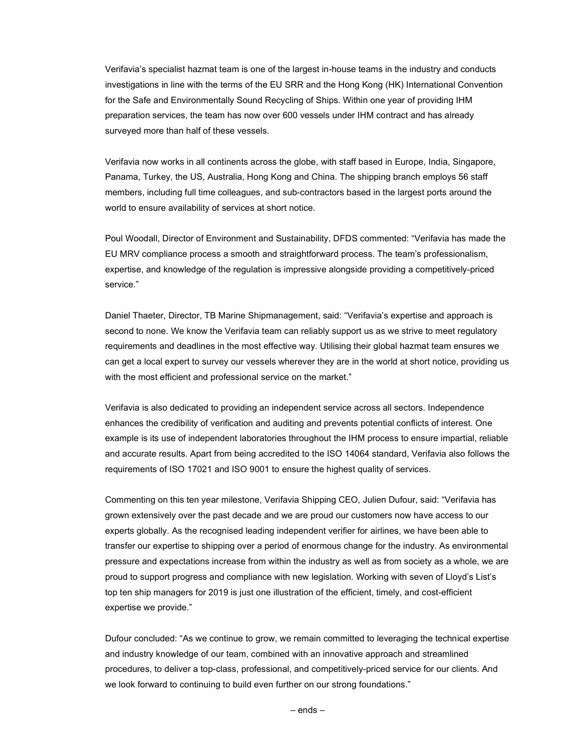Verifavia's specialist hazmat team is one of the largest in-house teams in the industry and conducts investigations in line with the terms of the EU SRR and the Hong Kong (HK) International Convention for the Safe and Environmentally Sound Recycling of Ships. Within one year of providing IHM preparation services, the team has now over 600 vessels under IHM contract and has already surveyed more than half of these vessels.

Verifavia now works in all continents across the globe, with staff based in Europe, India, Singapore, Panama, Turkey, the US, Australia, Hong Kong and China. The shipping branch employs 56 staff members, including full time colleagues, and sub-contractors based in the largest ports around the world to ensure availability of services at short notice.

Poul Woodall, Director of Environment and Sustainability, DFDS commented: "Verifavia has made the EU MRV compliance process a smooth and straightforward process. The team's professionalism, expertise, and knowledge of the regulation is impressive alongside providing a competitively-priced service."

Daniel Thaeter, Director, TB Marine Shipmanagement, said: "Verifavia's expertise and approach is second to none. We know the Verifavia team can reliably support us as we strive to meet regulatory requirements and deadlines in the most effective way. Utilising their global hazmat team ensures we can get a local expert to survey our vessels wherever they are in the world at short notice, providing us with the most efficient and professional service on the market."

Verifavia is also dedicated to providing an independent service across all sectors. Independence enhances the credibility of verification and auditing and prevents potential conflicts of interest. One example is its use of independent laboratories throughout the IHM process to ensure impartial, reliable and accurate results. Apart from being accredited to the ISO 14064 standard, Verifavia also follows the requirements of ISO 17021 and ISO 9001 to ensure the highest quality of services.

Commenting on this ten year milestone, Verifavia Shipping CEO, Julien Dufour, said: "Verifavia has grown extensively over the past decade and we are proud our customers now have access to our experts globally. As the recognised leading independent verifier for airlines, we have been able to transfer our expertise to shipping over a period of enormous change for the industry. As environmental pressure and expectations increase from within the industry as well as from society as a whole, we are proud to support progress and compliance with new legislation. Working with seven of Lloyd's List's top ten ship managers for 2019 is just one illustration of the efficient, timely, and cost-efficient expertise we provide."

Dufour concluded: "As we continue to grow, we remain committed to leveraging the technical expertise and industry knowledge of our team, combined with an innovative approach and streamlined procedures, to deliver a top-class, professional, and competitively-priced service for our clients. And we look forward to continuing to build even further on our strong foundations."